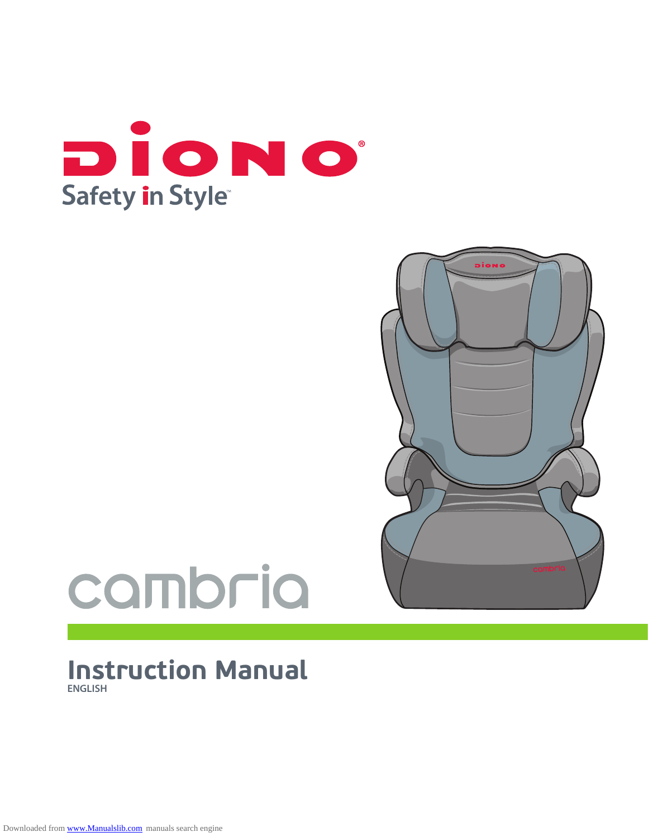



# cambria

# **Instruction Manual ENGLISH**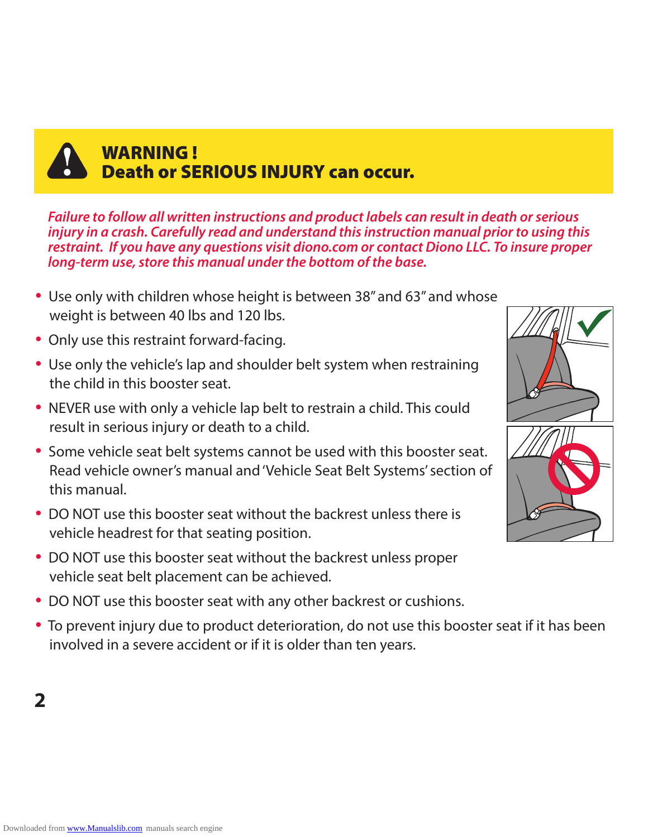

# WARNING ! Death or SERIOUS INJURY can occur.

*Failure to follow all written instructions and product labels can result in death or serious injury in a crash. Carefully read and understand this instruction manual prior to using this restraint. If you have any questions visit diono.com or contact Diono LLC. To insure proper long-term use, store this manual under the bottom of the base.*

- Use only with children whose height is between 38" and 63" and whose weight is between 40 lbs and 120 lbs.
- Only use this restraint forward-facing.
- Use only the vehicle's lap and shoulder belt system when restraining the child in this booster seat.
- NEVER use with only a vehicle lap belt to restrain a child. This could result in serious injury or death to a child.
- Some vehicle seat belt systems cannot be used with this booster seat. Read vehicle owner's manual and 'Vehicle Seat Belt Systems' section of this manual.
- DO NOT use this booster seat without the backrest unless there is vehicle headrest for that seating position.
- DO NOT use this booster seat without the backrest unless proper vehicle seat belt placement can be achieved.
- DO NOT use this booster seat with any other backrest or cushions.
- To prevent injury due to product deterioration, do not use this booster seat if it has been involved in a severe accident or if it is older than ten years.

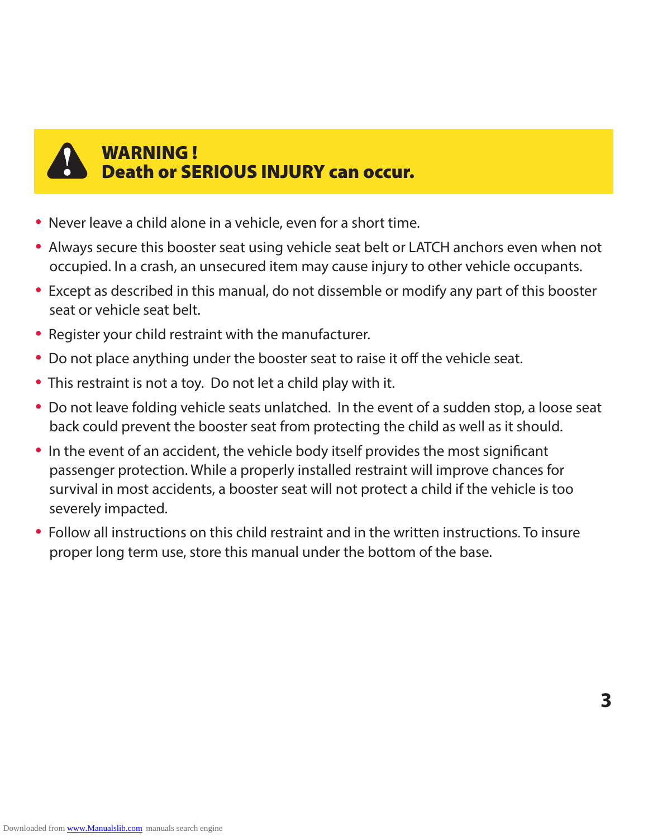

# WARNING ! Death or SERIOUS INJURY can occur.

- Never leave a child alone in a vehicle, even for a short time.
- Always secure this booster seat using vehicle seat belt or LATCH anchors even when not occupied. In a crash, an unsecured item may cause injury to other vehicle occupants.
- Except as described in this manual, do not dissemble or modify any part of this booster seat or vehicle seat belt.
- Register your child restraint with the manufacturer.
- Do not place anything under the booster seat to raise it off the vehicle seat.
- This restraint is not a toy. Do not let a child play with it.
- Do not leave folding vehicle seats unlatched. In the event of a sudden stop, a loose seat back could prevent the booster seat from protecting the child as well as it should.
- In the event of an accident, the vehicle body itself provides the most significant passenger protection. While a properly installed restraint will improve chances for survival in most accidents, a booster seat will not protect a child if the vehicle is too severely impacted.
- Follow all instructions on this child restraint and in the written instructions. To insure proper long term use, store this manual under the bottom of the base.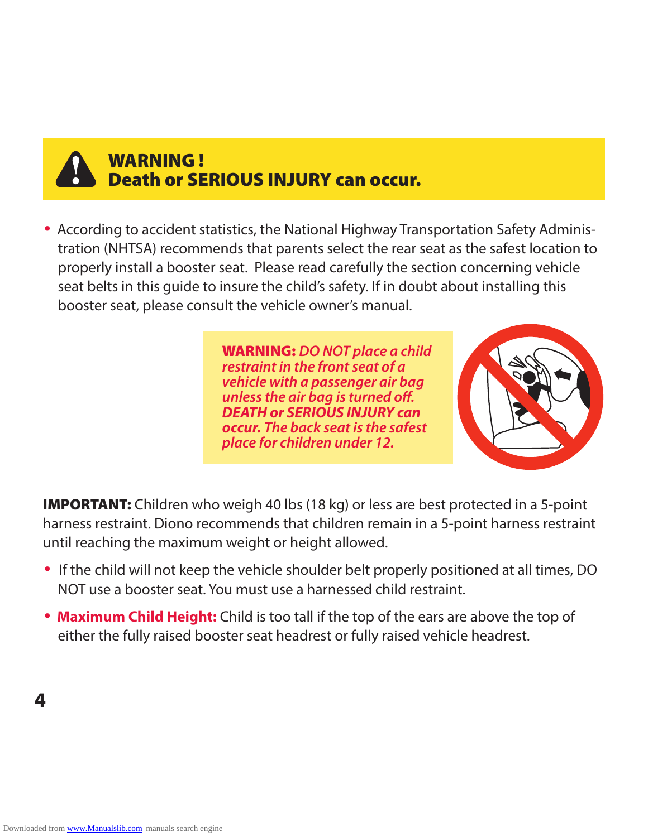

# WARNING ! Death or SERIOUS INJURY can occur.

• According to accident statistics, the National Highway Transportation Safety Administration (NHTSA) recommends that parents select the rear seat as the safest location to properly install a booster seat. Please read carefully the section concerning vehicle seat belts in this guide to insure the child's safety. If in doubt about installing this booster seat, please consult the vehicle owner's manual.

> WARNING: *DO NOT place a child restraint in the front seat of a vehicle with a passenger air bag unless the air bag is turned off. DEATH or SERIOUS INJURY can occur. The back seat is the safest place for children under 12.*



**IMPORTANT:** Children who weigh 40 lbs (18 kg) or less are best protected in a 5-point harness restraint. Diono recommends that children remain in a 5-point harness restraint until reaching the maximum weight or height allowed.

- If the child will not keep the vehicle shoulder belt properly positioned at all times, DO NOT use a booster seat. You must use a harnessed child restraint.
- **Maximum Child Height:** Child is too tall if the top of the ears are above the top of either the fully raised booster seat headrest or fully raised vehicle headrest.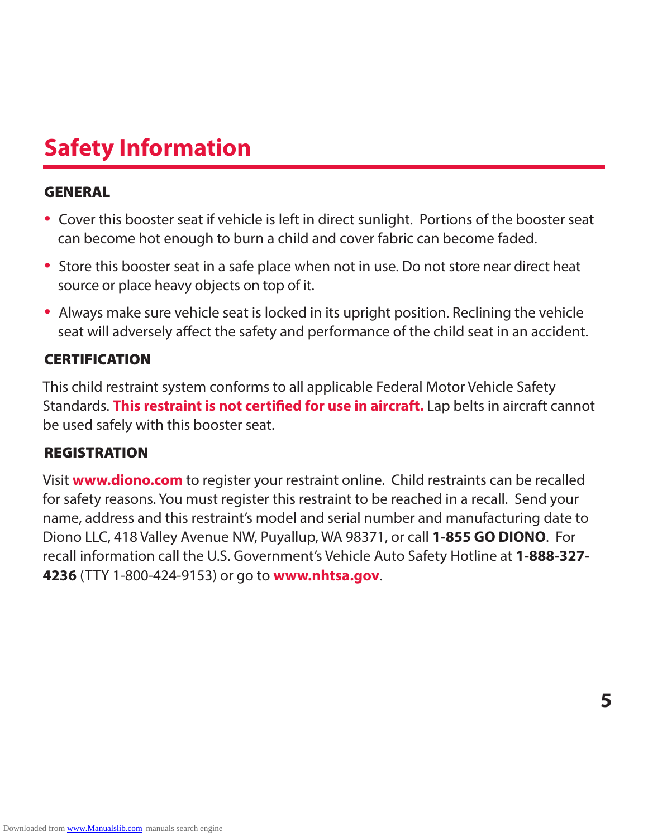# **Safety Information**

#### GENERAL

- Cover this booster seat if vehicle is left in direct sunlight. Portions of the booster seat can become hot enough to burn a child and cover fabric can become faded.
- Store this booster seat in a safe place when not in use. Do not store near direct heat source or place heavy objects on top of it.
- Always make sure vehicle seat is locked in its upright position. Reclining the vehicle seat will adversely affect the safety and performance of the child seat in an accident.

#### **CERTIFICATION**

This child restraint system conforms to all applicable Federal Motor Vehicle Safety Standards. **This restraint is not certified for use in aircraft.** Lap belts in aircraft cannot be used safely with this booster seat.

### REGISTRATION

Visit **www.diono.com** to register your restraint online. Child restraints can be recalled for safety reasons. You must register this restraint to be reached in a recall. Send your name, address and this restraint's model and serial number and manufacturing date to Diono LLC, 418 Valley Avenue NW, Puyallup, WA 98371, or call **1-855 GO DIONO**. For recall information call the U.S. Government's Vehicle Auto Safety Hotline at **1-888-327- 4236** (TTY 1-800-424-9153) or go to **www.nhtsa.gov**.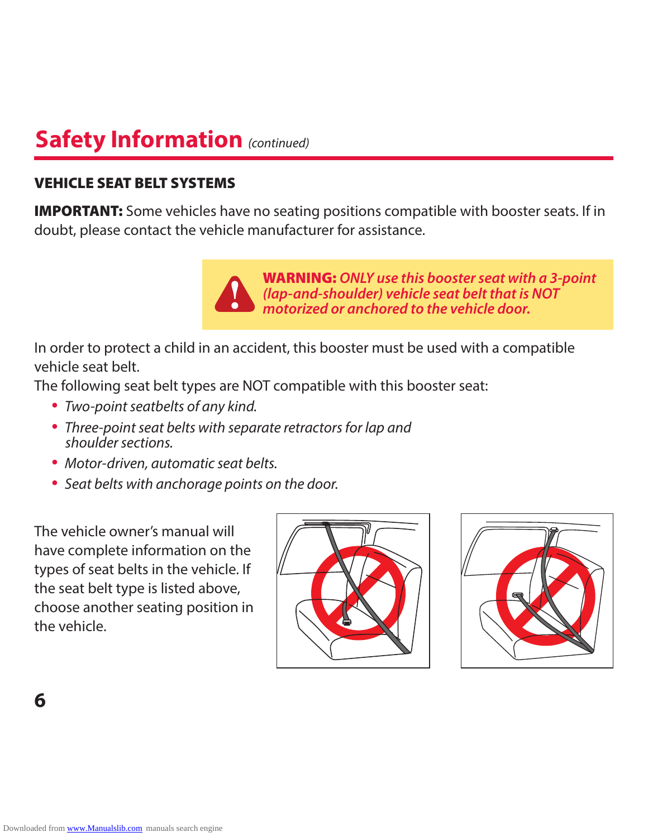# **Safety Information** *(continued)*

### VEHICLE SEAT BELT SYSTEMS

**IMPORTANT:** Some vehicles have no seating positions compatible with booster seats. If in doubt, please contact the vehicle manufacturer for assistance.



WARNING: *ONLY use this booster seat with a 3-point (lap-and-shoulder) vehicle seat belt that is NOT motorized or anchored to the vehicle door.*

In order to protect a child in an accident, this booster must be used with a compatible vehicle seat belt.

The following seat belt types are NOT compatible with this booster seat:

- Two-point seatbelts of any kind.
- Three-point seat belts with separate retractors for lap and shoulder sections.
- Motor-driven, automatic seat belts.
- Seat belts with anchorage points on the door.

The vehicle owner's manual will have complete information on the types of seat belts in the vehicle. If the seat belt type is listed above, choose another seating position in the vehicle.



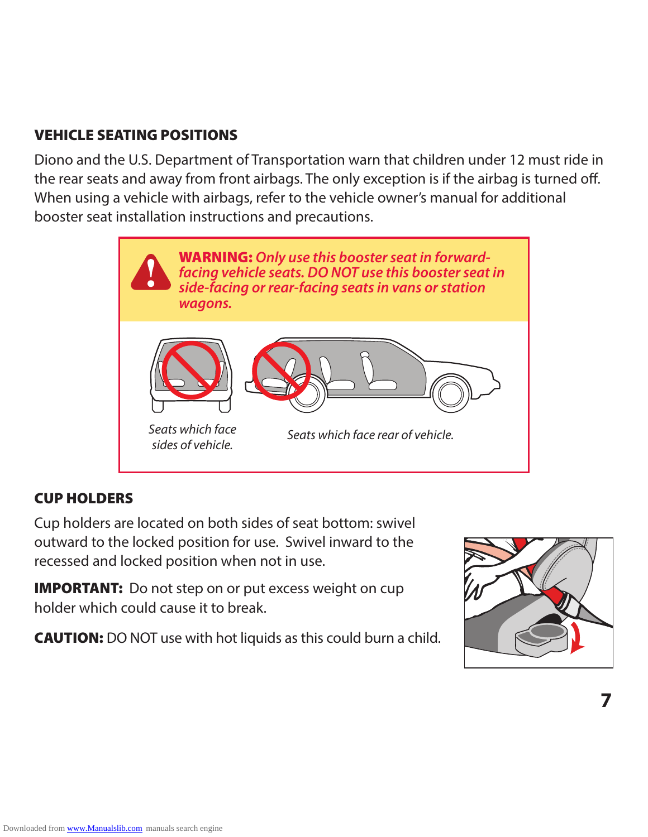### VEHICLE SEATING POSITIONS

Diono and the U.S. Department of Transportation warn that children under 12 must ride in the rear seats and away from front airbags. The only exception is if the airbag is turned off. When using a vehicle with airbags, refer to the vehicle owner's manual for additional booster seat installation instructions and precautions.



### CUP HOLDERS

Cup holders are located on both sides of seat bottom: swivel outward to the locked position for use. Swivel inward to the recessed and locked position when not in use.

**IMPORTANT:** Do not step on or put excess weight on cup holder which could cause it to break.

CAUTION: DO NOT use with hot liquids as this could burn a child.

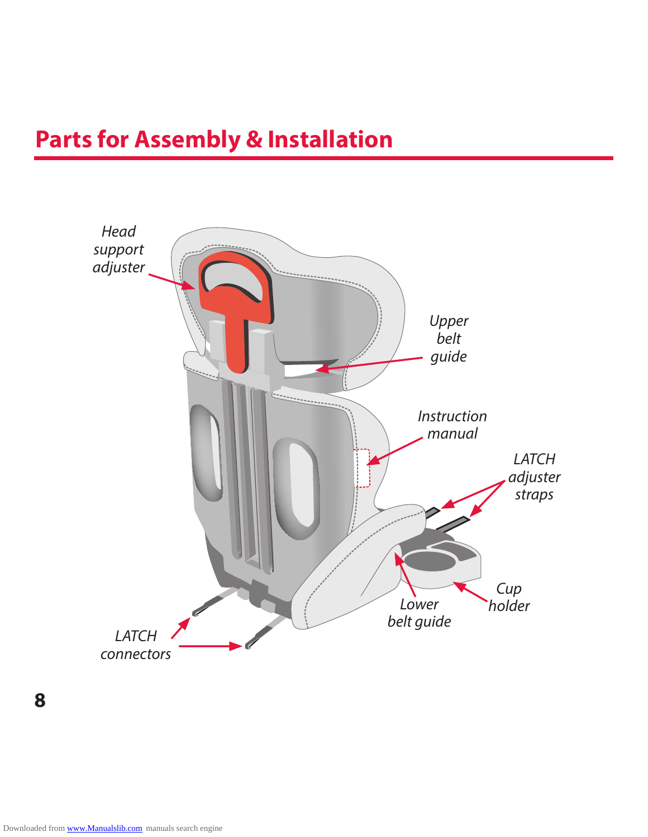# **Parts for Assembly & Installation**

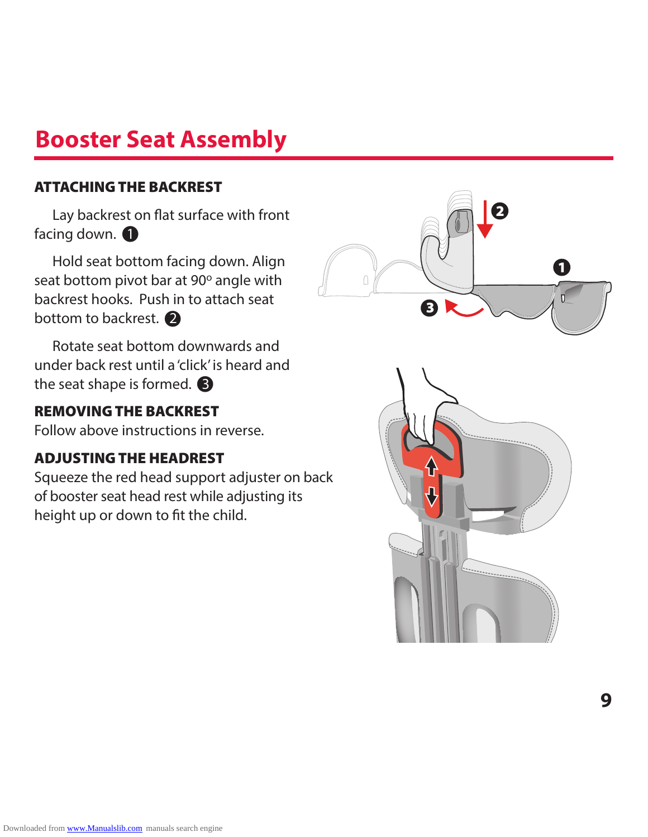# **Booster Seat Assembly**

#### ATTACHING THE BACKREST

**1** Lay backrest on flat surface with front Lay backrest o<br>facing down. <br>Hold seat bott 1

**2** Hold seat bottom facing down. Align seat bottom pivot bar at 90° angle with backrest hooks. Push in to attach seat seat bottom pivot bar a<br>backrest hooks. Push in<br>bottom to backrest. <br>Rotate seat bottom d 2

**3** Rotate seat bottom downwards and under back rest until a 'click' is heard and the seat shape is formed. • the seat shape is formed.  $\bigcirc$ 

### REMOVING THE BACKREST

Follow above instructions in reverse.

### ADJUSTING THE HEADREST

Squeeze the red head support adjuster on back of booster seat head rest while adjusting its height up or down to fit the child.



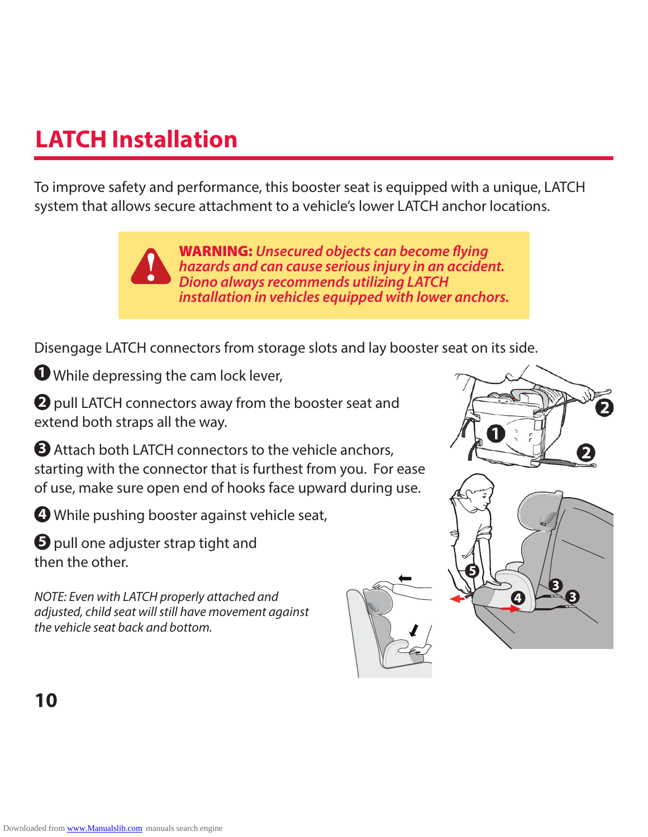# **LATCH Installation**

To improve safety and performance, this booster seat is equipped with a unique, LATCH system that allows secure attachment to a vehicle's lower LATCH anchor locations.

> WARNING: *Unsecured objects can become flying hazards and can cause serious injury in an accident. Diono always recommends utilizing LATCH installation in vehicles equipped with lower anchors.*

Disengage LATCH connectors from storage slots and lay booster seat on its side.

**1** While depressing the cam lock lever,

**2** pull LATCH connectors away from the booster seat and extend both straps all the way.

**3** Attach both LATCH connectors to the vehicle anchors, starting with the connector that is furthest from you. For ease of use, make sure open end of hooks face upward during use.

**4** While pushing booster against vehicle seat,

**5** pull one adjuster strap tight and then the other.

NOTE: Even with LATCH properly attached and adjusted, child seat will still have movement against the vehicle seat back and bottom.

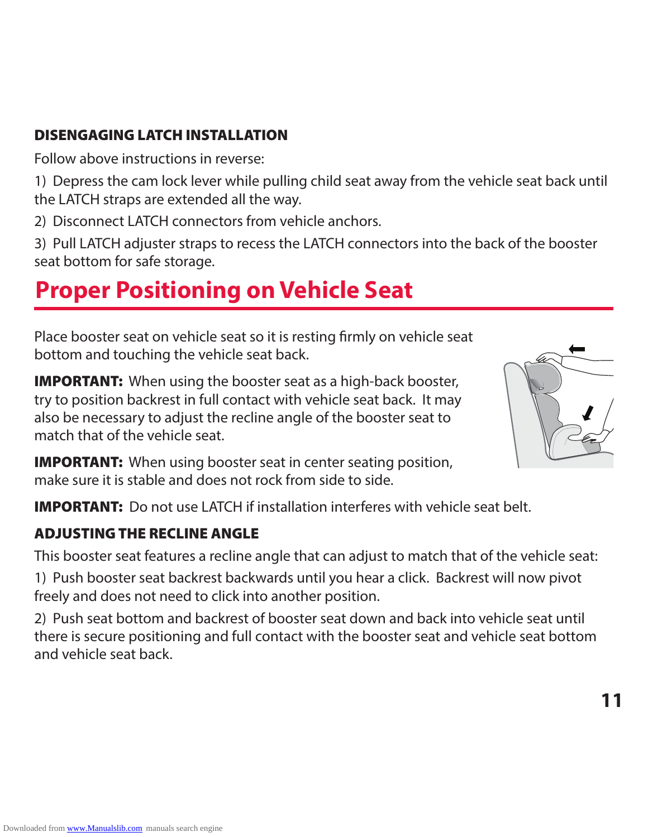### DISENGAGING LATCH INSTALLATION

Follow above instructions in reverse:

1) Depress the cam lock lever while pulling child seat away from the vehicle seat back until the LATCH straps are extended all the way.

2) Disconnect LATCH connectors from vehicle anchors.

3) Pull LATCH adjuster straps to recess the LATCH connectors into the back of the booster seat bottom for safe storage.

# **Proper Positioning on Vehicle Seat**

Place booster seat on vehicle seat so it is resting firmly on vehicle seat bottom and touching the vehicle seat back.

**IMPORTANT:** When using the booster seat as a high-back booster, try to position backrest in full contact with vehicle seat back. It may also be necessary to adjust the recline angle of the booster seat to match that of the vehicle seat.



**11**

**IMPORTANT:** When using booster seat in center seating position, make sure it is stable and does not rock from side to side.

IMPORTANT: Do not use LATCH if installation interferes with vehicle seat belt.

### ADJUSTING THE RECLINE ANGLE

This booster seat features a recline angle that can adjust to match that of the vehicle seat:

1) Push booster seat backrest backwards until you hear a click. Backrest will now pivot freely and does not need to click into another position.

2) Push seat bottom and backrest of booster seat down and back into vehicle seat until there is secure positioning and full contact with the booster seat and vehicle seat bottom and vehicle seat back.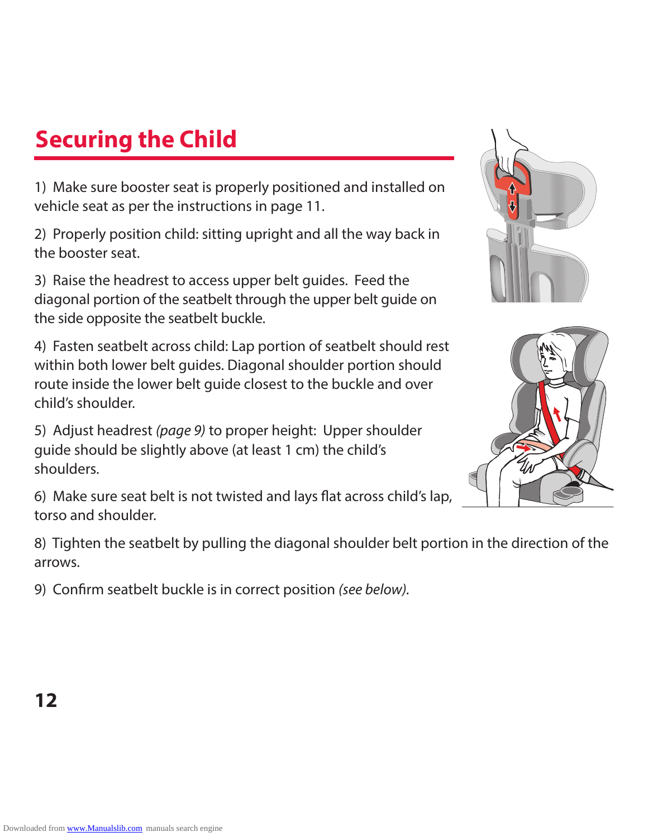# **Securing the Child**

1) Make sure booster seat is properly positioned and installed on vehicle seat as per the instructions in page 11.

2) Properly position child: sitting upright and all the way back in the booster seat.

3) Raise the headrest to access upper belt guides. Feed the diagonal portion of the seatbelt through the upper belt guide on the side opposite the seatbelt buckle.

4) Fasten seatbelt across child: Lap portion of seatbelt should rest within both lower belt guides. Diagonal shoulder portion should route inside the lower belt guide closest to the buckle and over child's shoulder.

5) Adjust headrest (page 9) to proper height: Upper shoulder guide should be slightly above (at least 1 cm) the child's shoulders.

6) Make sure seat belt is not twisted and lays flat across child's lap, torso and shoulder.

8) Tighten the seatbelt by pulling the diagonal shoulder belt portion in the direction of the arrows.

9) Confirm seatbelt buckle is in correct position (see below).



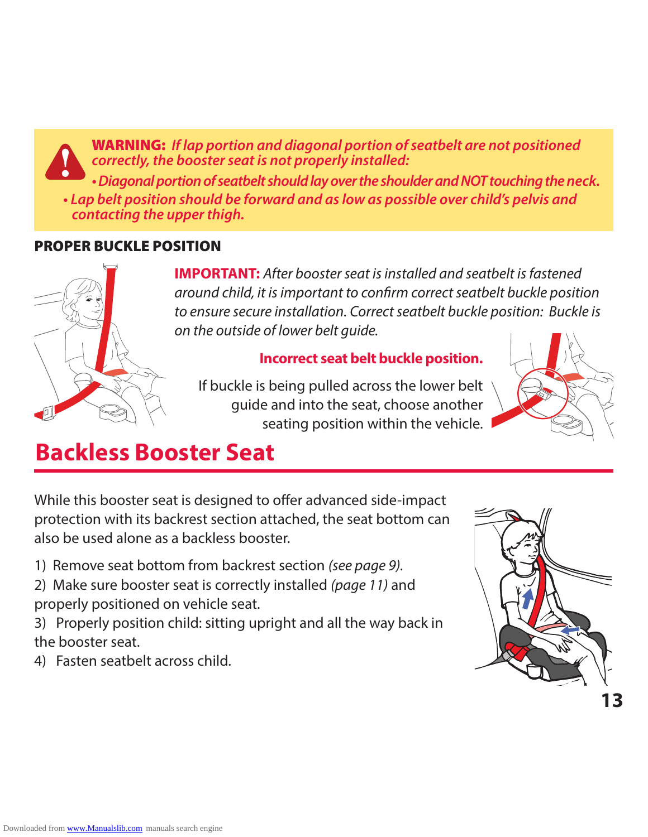WARNING: *If lap portion and diagonal portion of seatbelt are not positioned correctly, the booster seat is not properly installed:* **• Diagonal portion of seatbelt should lay over the shoulder and NOT touching the neck. • Lap belt position should be forward and as low as possible over child's pelvis and** 

# *contacting the upper thigh.*

#### PROPER BUCKLE POSITION



**IMPORTANT:** After booster seat is installed and seatbelt is fastened around child, it is important to confirm correct seatbelt buckle position to ensure secure installation. Correct seatbelt buckle position: Buckle is on the outside of lower belt guide.

#### **Incorrect seat belt buckle position.**

If buckle is being pulled across the lower belt guide and into the seat, choose another seating position within the vehicle.



# **Backless Booster Seat**

While this booster seat is designed to offer advanced side-impact protection with its backrest section attached, the seat bottom can also be used alone as a backless booster.

- 1) Remove seat bottom from backrest section (see page 9).**A**
- 2) Make sure booster seat is correctly installed (page 11) and properly positioned on vehicle seat.
- 3) Properly position child: sitting upright and all the way back in the booster seat.
- 4) Fasten seatbelt across child.

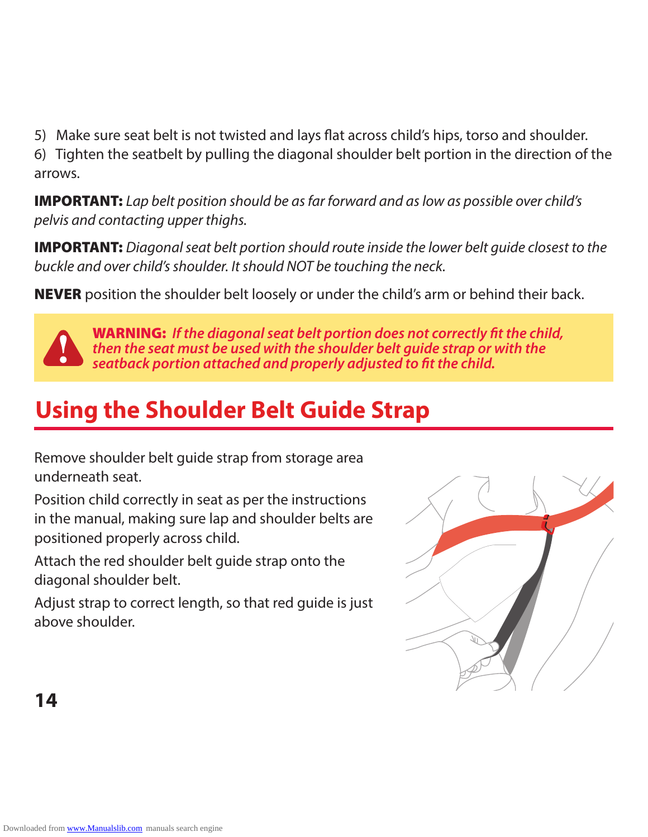5) Make sure seat belt is not twisted and lays flat across child's hips, torso and shoulder.

6) Tighten the seatbelt by pulling the diagonal shoulder belt portion in the direction of the arrows.

**IMPORTANT:** Lap belt position should be as far forward and as low as possible over child's pelvis and contacting upper thighs.

**IMPORTANT:** Diagonal seat belt portion should route inside the lower belt quide closest to the buckle and over child's shoulder. It should NOT be touching the neck.

**NEVER** position the shoulder belt loosely or under the child's arm or behind their back.



WARNING: *If the diagonal seat belt portion does not correctly fit the child, then the seat must be used with the shoulder belt guide strap or with the seatback portion attached and properly adjusted to fit the child.*

# **Using the Shoulder Belt Guide Strap**

Remove shoulder belt guide strap from storage area underneath seat.

Position child correctly in seat as per the instructions in the manual, making sure lap and shoulder belts are positioned properly across child.

Attach the red shoulder belt guide strap onto the diagonal shoulder belt.

Adjust strap to correct length, so that red guide is just above shoulder.

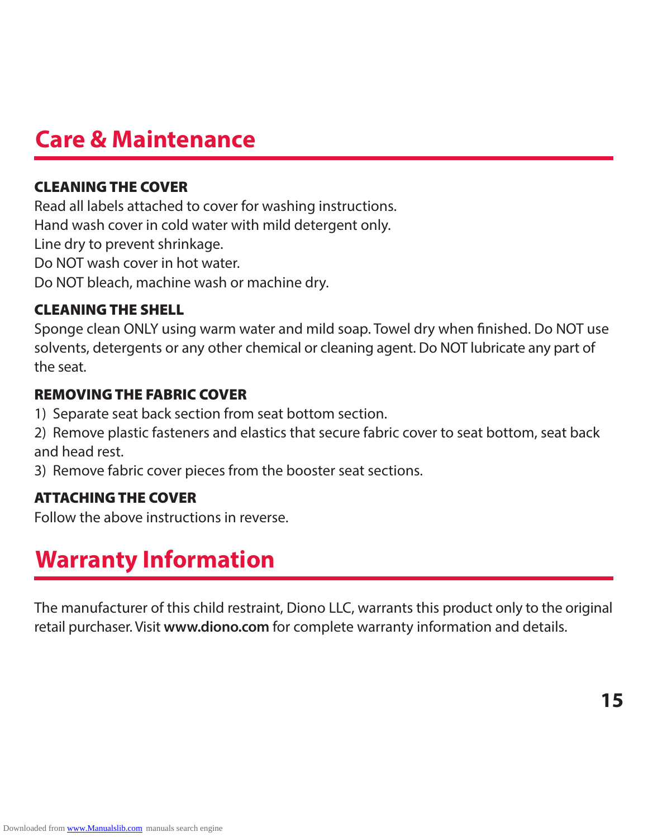# **Care & Maintenance**

### CLEANING THE COVER

Read all labels attached to cover for washing instructions. Hand wash cover in cold water with mild detergent only. Line dry to prevent shrinkage. Do NOT wash cover in hot water. Do NOT bleach, machine wash or machine dry.

### CLEANING THE SHELL

Sponge clean ONLY using warm water and mild soap. Towel dry when finished. Do NOT use solvents, detergents or any other chemical or cleaning agent. Do NOT lubricate any part of the seat.

### REMOVING THE FABRIC COVER

- 1) Separate seat back section from seat bottom section.
- 2) Remove plastic fasteners and elastics that secure fabric cover to seat bottom, seat back and head rest.
- 3) Remove fabric cover pieces from the booster seat sections.

### ATTACHING THE COVER

Follow the above instructions in reverse.

# **Warranty Information**

The manufacturer of this child restraint, Diono LLC, warrants this product only to the original retail purchaser. Visit **www.diono.com** for complete warranty information and details.